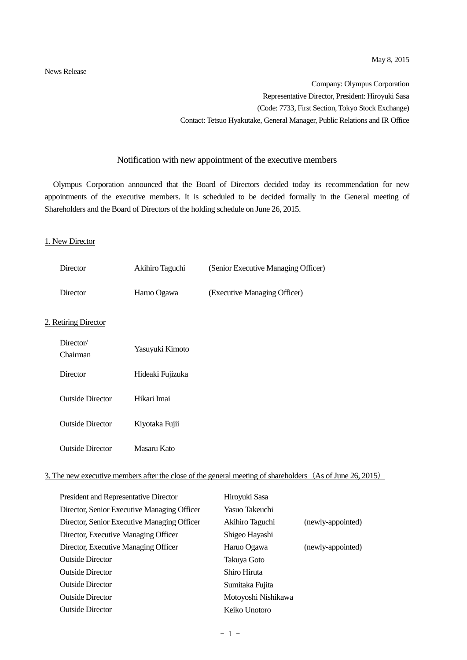News Release

Company: Olympus Corporation Representative Director, President: Hiroyuki Sasa (Code: 7733, First Section, Tokyo Stock Exchange) Contact: Tetsuo Hyakutake, General Manager, Public Relations and IR Office

### Notification with new appointment of the executive members

Olympus Corporation announced that the Board of Directors decided today its recommendation for new appointments of the executive members. It is scheduled to be decided formally in the General meeting of Shareholders and the Board of Directors of the holding schedule on June 26, 2015.

#### 1. New Director

| Director                | Akihiro Taguchi  | (Senior Executive Managing Officer) |
|-------------------------|------------------|-------------------------------------|
| Director                | Haruo Ogawa      | (Executive Managing Officer)        |
| 2. Retiring Director    |                  |                                     |
| Director/<br>Chairman   | Yasuyuki Kimoto  |                                     |
| <b>Director</b>         | Hideaki Fujizuka |                                     |
| <b>Outside Director</b> | Hikari Imai      |                                     |
| <b>Outside Director</b> | Kiyotaka Fujii   |                                     |
| <b>Outside Director</b> | Masaru Kato      |                                     |

### 3. The new executive members after the close of the general meeting of shareholders (As of June 26, 2015)

| President and Representative Director       | Hiroyuki Sasa       |                   |
|---------------------------------------------|---------------------|-------------------|
| Director, Senior Executive Managing Officer | Yasuo Takeuchi      |                   |
| Director, Senior Executive Managing Officer | Akihiro Taguchi     | (newly-appointed) |
| Director, Executive Managing Officer        | Shigeo Hayashi      |                   |
| Director, Executive Managing Officer        | Haruo Ogawa         | (newly-appointed) |
| <b>Outside Director</b>                     | Takuya Goto         |                   |
| <b>Outside Director</b>                     | Shiro Hiruta        |                   |
| <b>Outside Director</b>                     | Sumitaka Fujita     |                   |
| <b>Outside Director</b>                     | Motoyoshi Nishikawa |                   |
| <b>Outside Director</b>                     | Keiko Unotoro       |                   |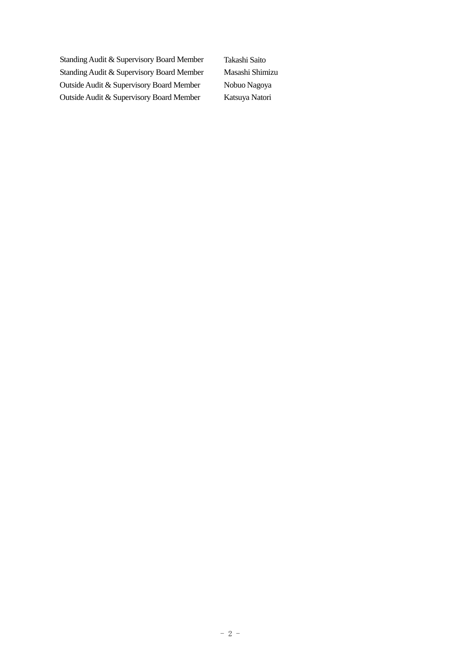Standing Audit & Supervisory Board Member Takashi Saito Standing Audit & Supervisory Board Member Masashi Shimizu Outside Audit & Supervisory Board Member Nobuo Nagoya Outside Audit & Supervisory Board Member Katsuya Natori